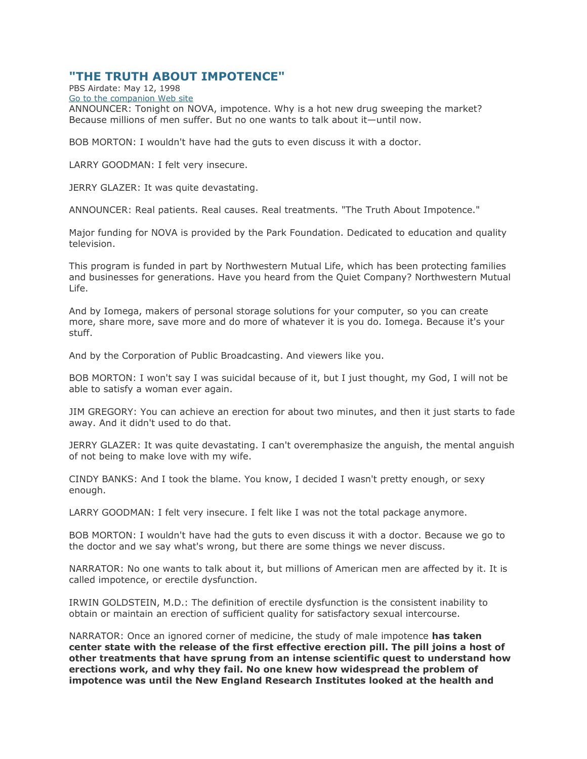## **"THE TRUTH ABOUT IMPOTENCE"**

PBS Airdate: May 12, 1998 [Go to the companion Web site](https://www.pbs.org/wgbh/nova/impotence/)

ANNOUNCER: Tonight on NOVA, impotence. Why is a hot new drug sweeping the market? Because millions of men suffer. But no one wants to talk about it—until now.

BOB MORTON: I wouldn't have had the guts to even discuss it with a doctor.

LARRY GOODMAN: I felt very insecure.

JERRY GLAZER: It was quite devastating.

ANNOUNCER: Real patients. Real causes. Real treatments. "The Truth About Impotence."

Major funding for NOVA is provided by the Park Foundation. Dedicated to education and quality television.

This program is funded in part by Northwestern Mutual Life, which has been protecting families and businesses for generations. Have you heard from the Quiet Company? Northwestern Mutual Life.

And by Iomega, makers of personal storage solutions for your computer, so you can create more, share more, save more and do more of whatever it is you do. Iomega. Because it's your stuff.

And by the Corporation of Public Broadcasting. And viewers like you.

BOB MORTON: I won't say I was suicidal because of it, but I just thought, my God, I will not be able to satisfy a woman ever again.

JIM GREGORY: You can achieve an erection for about two minutes, and then it just starts to fade away. And it didn't used to do that.

JERRY GLAZER: It was quite devastating. I can't overemphasize the anguish, the mental anguish of not being to make love with my wife.

CINDY BANKS: And I took the blame. You know, I decided I wasn't pretty enough, or sexy enough.

LARRY GOODMAN: I felt very insecure. I felt like I was not the total package anymore.

BOB MORTON: I wouldn't have had the guts to even discuss it with a doctor. Because we go to the doctor and we say what's wrong, but there are some things we never discuss.

NARRATOR: No one wants to talk about it, but millions of American men are affected by it. It is called impotence, or erectile dysfunction.

IRWIN GOLDSTEIN, M.D.: The definition of erectile dysfunction is the consistent inability to obtain or maintain an erection of sufficient quality for satisfactory sexual intercourse.

NARRATOR: Once an ignored corner of medicine, the study of male impotence **has taken center state with the release of the first effective erection pill. The pill joins a host of other treatments that have sprung from an intense scientific quest to understand how erections work, and why they fail. No one knew how widespread the problem of impotence was until the New England Research Institutes looked at the health and**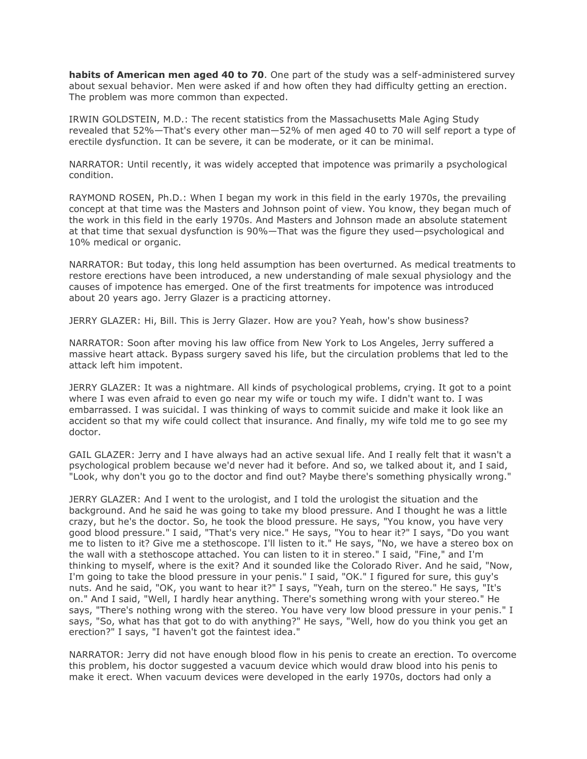**habits of American men aged 40 to 70**. One part of the study was a self-administered survey about sexual behavior. Men were asked if and how often they had difficulty getting an erection. The problem was more common than expected.

IRWIN GOLDSTEIN, M.D.: The recent statistics from the Massachusetts Male Aging Study revealed that 52%—That's every other man—52% of men aged 40 to 70 will self report a type of erectile dysfunction. It can be severe, it can be moderate, or it can be minimal.

NARRATOR: Until recently, it was widely accepted that impotence was primarily a psychological condition.

RAYMOND ROSEN, Ph.D.: When I began my work in this field in the early 1970s, the prevailing concept at that time was the Masters and Johnson point of view. You know, they began much of the work in this field in the early 1970s. And Masters and Johnson made an absolute statement at that time that sexual dysfunction is 90%—That was the figure they used—psychological and 10% medical or organic.

NARRATOR: But today, this long held assumption has been overturned. As medical treatments to restore erections have been introduced, a new understanding of male sexual physiology and the causes of impotence has emerged. One of the first treatments for impotence was introduced about 20 years ago. Jerry Glazer is a practicing attorney.

JERRY GLAZER: Hi, Bill. This is Jerry Glazer. How are you? Yeah, how's show business?

NARRATOR: Soon after moving his law office from New York to Los Angeles, Jerry suffered a massive heart attack. Bypass surgery saved his life, but the circulation problems that led to the attack left him impotent.

JERRY GLAZER: It was a nightmare. All kinds of psychological problems, crying. It got to a point where I was even afraid to even go near my wife or touch my wife. I didn't want to. I was embarrassed. I was suicidal. I was thinking of ways to commit suicide and make it look like an accident so that my wife could collect that insurance. And finally, my wife told me to go see my doctor.

GAIL GLAZER: Jerry and I have always had an active sexual life. And I really felt that it wasn't a psychological problem because we'd never had it before. And so, we talked about it, and I said, "Look, why don't you go to the doctor and find out? Maybe there's something physically wrong."

JERRY GLAZER: And I went to the urologist, and I told the urologist the situation and the background. And he said he was going to take my blood pressure. And I thought he was a little crazy, but he's the doctor. So, he took the blood pressure. He says, "You know, you have very good blood pressure." I said, "That's very nice." He says, "You to hear it?" I says, "Do you want me to listen to it? Give me a stethoscope. I'll listen to it." He says, "No, we have a stereo box on the wall with a stethoscope attached. You can listen to it in stereo." I said, "Fine," and I'm thinking to myself, where is the exit? And it sounded like the Colorado River. And he said, "Now, I'm going to take the blood pressure in your penis." I said, "OK." I figured for sure, this guy's nuts. And he said, "OK, you want to hear it?" I says, "Yeah, turn on the stereo." He says, "It's on." And I said, "Well, I hardly hear anything. There's something wrong with your stereo." He says, "There's nothing wrong with the stereo. You have very low blood pressure in your penis." I says, "So, what has that got to do with anything?" He says, "Well, how do you think you get an erection?" I says, "I haven't got the faintest idea."

NARRATOR: Jerry did not have enough blood flow in his penis to create an erection. To overcome this problem, his doctor suggested a vacuum device which would draw blood into his penis to make it erect. When vacuum devices were developed in the early 1970s, doctors had only a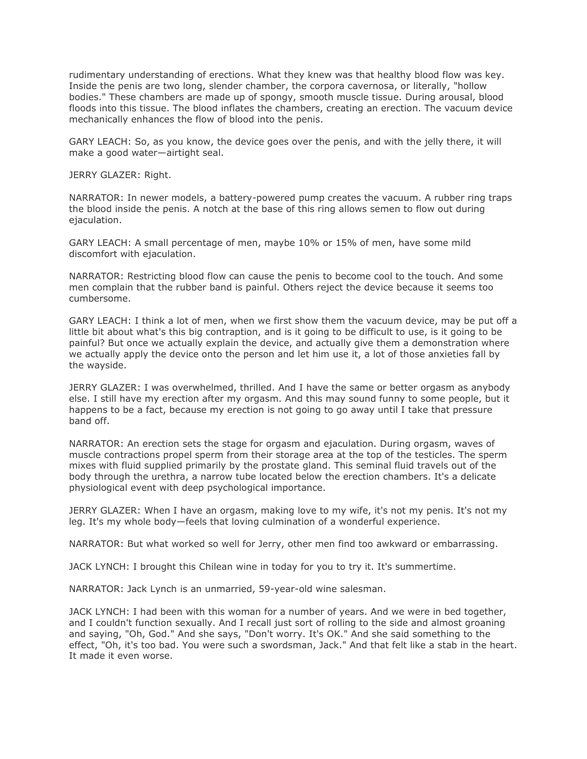rudimentary understanding of erections. What they knew was that healthy blood flow was key. Inside the penis are two long, slender chamber, the corpora cavernosa, or literally, "hollow bodies." These chambers are made up of spongy, smooth muscle tissue. During arousal, blood floods into this tissue. The blood inflates the chambers, creating an erection. The vacuum device mechanically enhances the flow of blood into the penis.

GARY LEACH: So, as you know, the device goes over the penis, and with the jelly there, it will make a good water—airtight seal.

JERRY GLAZER: Right.

NARRATOR: In newer models, a battery-powered pump creates the vacuum. A rubber ring traps the blood inside the penis. A notch at the base of this ring allows semen to flow out during ejaculation.

GARY LEACH: A small percentage of men, maybe 10% or 15% of men, have some mild discomfort with ejaculation.

NARRATOR: Restricting blood flow can cause the penis to become cool to the touch. And some men complain that the rubber band is painful. Others reject the device because it seems too cumbersome.

GARY LEACH: I think a lot of men, when we first show them the vacuum device, may be put off a little bit about what's this big contraption, and is it going to be difficult to use, is it going to be painful? But once we actually explain the device, and actually give them a demonstration where we actually apply the device onto the person and let him use it, a lot of those anxieties fall by the wayside.

JERRY GLAZER: I was overwhelmed, thrilled. And I have the same or better orgasm as anybody else. I still have my erection after my orgasm. And this may sound funny to some people, but it happens to be a fact, because my erection is not going to go away until I take that pressure band off.

NARRATOR: An erection sets the stage for orgasm and ejaculation. During orgasm, waves of muscle contractions propel sperm from their storage area at the top of the testicles. The sperm mixes with fluid supplied primarily by the prostate gland. This seminal fluid travels out of the body through the urethra, a narrow tube located below the erection chambers. It's a delicate physiological event with deep psychological importance.

JERRY GLAZER: When I have an orgasm, making love to my wife, it's not my penis. It's not my leg. It's my whole body—feels that loving culmination of a wonderful experience.

NARRATOR: But what worked so well for Jerry, other men find too awkward or embarrassing.

JACK LYNCH: I brought this Chilean wine in today for you to try it. It's summertime.

NARRATOR: Jack Lynch is an unmarried, 59-year-old wine salesman.

JACK LYNCH: I had been with this woman for a number of years. And we were in bed together, and I couldn't function sexually. And I recall just sort of rolling to the side and almost groaning and saying, "Oh, God." And she says, "Don't worry. It's OK." And she said something to the effect, "Oh, it's too bad. You were such a swordsman, Jack." And that felt like a stab in the heart. It made it even worse.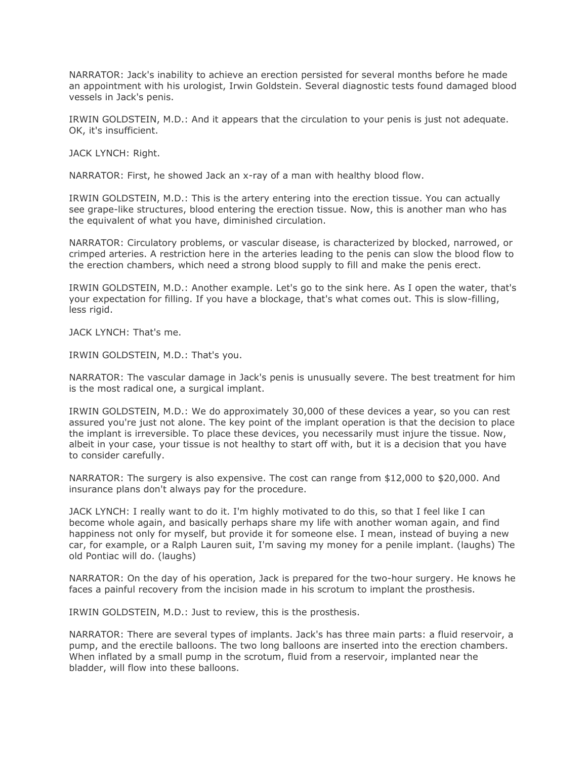NARRATOR: Jack's inability to achieve an erection persisted for several months before he made an appointment with his urologist, Irwin Goldstein. Several diagnostic tests found damaged blood vessels in Jack's penis.

IRWIN GOLDSTEIN, M.D.: And it appears that the circulation to your penis is just not adequate. OK, it's insufficient.

JACK LYNCH: Right.

NARRATOR: First, he showed Jack an x-ray of a man with healthy blood flow.

IRWIN GOLDSTEIN, M.D.: This is the artery entering into the erection tissue. You can actually see grape-like structures, blood entering the erection tissue. Now, this is another man who has the equivalent of what you have, diminished circulation.

NARRATOR: Circulatory problems, or vascular disease, is characterized by blocked, narrowed, or crimped arteries. A restriction here in the arteries leading to the penis can slow the blood flow to the erection chambers, which need a strong blood supply to fill and make the penis erect.

IRWIN GOLDSTEIN, M.D.: Another example. Let's go to the sink here. As I open the water, that's your expectation for filling. If you have a blockage, that's what comes out. This is slow-filling, less rigid.

JACK LYNCH: That's me.

IRWIN GOLDSTEIN, M.D.: That's you.

NARRATOR: The vascular damage in Jack's penis is unusually severe. The best treatment for him is the most radical one, a surgical implant.

IRWIN GOLDSTEIN, M.D.: We do approximately 30,000 of these devices a year, so you can rest assured you're just not alone. The key point of the implant operation is that the decision to place the implant is irreversible. To place these devices, you necessarily must injure the tissue. Now, albeit in your case, your tissue is not healthy to start off with, but it is a decision that you have to consider carefully.

NARRATOR: The surgery is also expensive. The cost can range from \$12,000 to \$20,000. And insurance plans don't always pay for the procedure.

JACK LYNCH: I really want to do it. I'm highly motivated to do this, so that I feel like I can become whole again, and basically perhaps share my life with another woman again, and find happiness not only for myself, but provide it for someone else. I mean, instead of buying a new car, for example, or a Ralph Lauren suit, I'm saving my money for a penile implant. (laughs) The old Pontiac will do. (laughs)

NARRATOR: On the day of his operation, Jack is prepared for the two-hour surgery. He knows he faces a painful recovery from the incision made in his scrotum to implant the prosthesis.

IRWIN GOLDSTEIN, M.D.: Just to review, this is the prosthesis.

NARRATOR: There are several types of implants. Jack's has three main parts: a fluid reservoir, a pump, and the erectile balloons. The two long balloons are inserted into the erection chambers. When inflated by a small pump in the scrotum, fluid from a reservoir, implanted near the bladder, will flow into these balloons.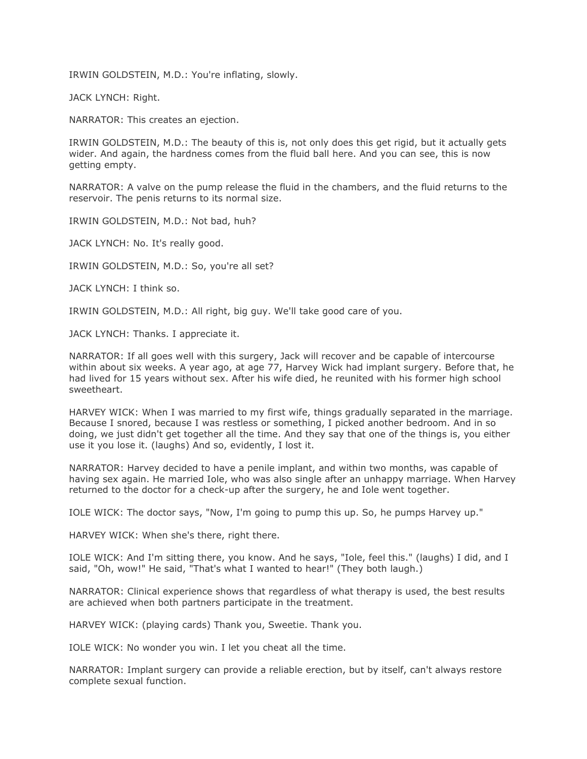IRWIN GOLDSTEIN, M.D.: You're inflating, slowly.

JACK LYNCH: Right.

NARRATOR: This creates an ejection.

IRWIN GOLDSTEIN, M.D.: The beauty of this is, not only does this get rigid, but it actually gets wider. And again, the hardness comes from the fluid ball here. And you can see, this is now getting empty.

NARRATOR: A valve on the pump release the fluid in the chambers, and the fluid returns to the reservoir. The penis returns to its normal size.

IRWIN GOLDSTEIN, M.D.: Not bad, huh?

JACK LYNCH: No. It's really good.

IRWIN GOLDSTEIN, M.D.: So, you're all set?

JACK LYNCH: I think so.

IRWIN GOLDSTEIN, M.D.: All right, big guy. We'll take good care of you.

JACK LYNCH: Thanks. I appreciate it.

NARRATOR: If all goes well with this surgery, Jack will recover and be capable of intercourse within about six weeks. A year ago, at age 77, Harvey Wick had implant surgery. Before that, he had lived for 15 years without sex. After his wife died, he reunited with his former high school sweetheart.

HARVEY WICK: When I was married to my first wife, things gradually separated in the marriage. Because I snored, because I was restless or something, I picked another bedroom. And in so doing, we just didn't get together all the time. And they say that one of the things is, you either use it you lose it. (laughs) And so, evidently, I lost it.

NARRATOR: Harvey decided to have a penile implant, and within two months, was capable of having sex again. He married Iole, who was also single after an unhappy marriage. When Harvey returned to the doctor for a check-up after the surgery, he and Iole went together.

IOLE WICK: The doctor says, "Now, I'm going to pump this up. So, he pumps Harvey up."

HARVEY WICK: When she's there, right there.

IOLE WICK: And I'm sitting there, you know. And he says, "Iole, feel this." (laughs) I did, and I said, "Oh, wow!" He said, "That's what I wanted to hear!" (They both laugh.)

NARRATOR: Clinical experience shows that regardless of what therapy is used, the best results are achieved when both partners participate in the treatment.

HARVEY WICK: (playing cards) Thank you, Sweetie. Thank you.

IOLE WICK: No wonder you win. I let you cheat all the time.

NARRATOR: Implant surgery can provide a reliable erection, but by itself, can't always restore complete sexual function.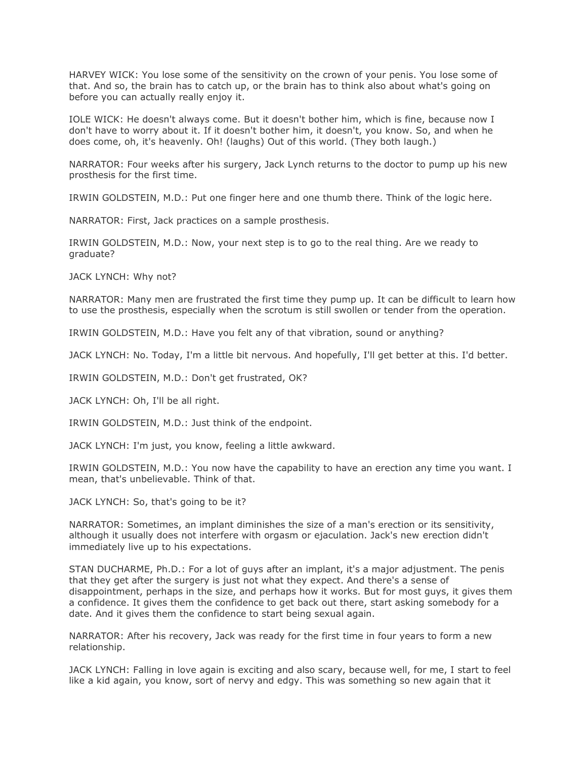HARVEY WICK: You lose some of the sensitivity on the crown of your penis. You lose some of that. And so, the brain has to catch up, or the brain has to think also about what's going on before you can actually really enjoy it.

IOLE WICK: He doesn't always come. But it doesn't bother him, which is fine, because now I don't have to worry about it. If it doesn't bother him, it doesn't, you know. So, and when he does come, oh, it's heavenly. Oh! (laughs) Out of this world. (They both laugh.)

NARRATOR: Four weeks after his surgery, Jack Lynch returns to the doctor to pump up his new prosthesis for the first time.

IRWIN GOLDSTEIN, M.D.: Put one finger here and one thumb there. Think of the logic here.

NARRATOR: First, Jack practices on a sample prosthesis.

IRWIN GOLDSTEIN, M.D.: Now, your next step is to go to the real thing. Are we ready to graduate?

JACK LYNCH: Why not?

NARRATOR: Many men are frustrated the first time they pump up. It can be difficult to learn how to use the prosthesis, especially when the scrotum is still swollen or tender from the operation.

IRWIN GOLDSTEIN, M.D.: Have you felt any of that vibration, sound or anything?

JACK LYNCH: No. Today, I'm a little bit nervous. And hopefully, I'll get better at this. I'd better.

IRWIN GOLDSTEIN, M.D.: Don't get frustrated, OK?

JACK LYNCH: Oh, I'll be all right.

IRWIN GOLDSTEIN, M.D.: Just think of the endpoint.

JACK LYNCH: I'm just, you know, feeling a little awkward.

IRWIN GOLDSTEIN, M.D.: You now have the capability to have an erection any time you want. I mean, that's unbelievable. Think of that.

JACK LYNCH: So, that's going to be it?

NARRATOR: Sometimes, an implant diminishes the size of a man's erection or its sensitivity, although it usually does not interfere with orgasm or ejaculation. Jack's new erection didn't immediately live up to his expectations.

STAN DUCHARME, Ph.D.: For a lot of guys after an implant, it's a major adjustment. The penis that they get after the surgery is just not what they expect. And there's a sense of disappointment, perhaps in the size, and perhaps how it works. But for most guys, it gives them a confidence. It gives them the confidence to get back out there, start asking somebody for a date. And it gives them the confidence to start being sexual again.

NARRATOR: After his recovery, Jack was ready for the first time in four years to form a new relationship.

JACK LYNCH: Falling in love again is exciting and also scary, because well, for me, I start to feel like a kid again, you know, sort of nervy and edgy. This was something so new again that it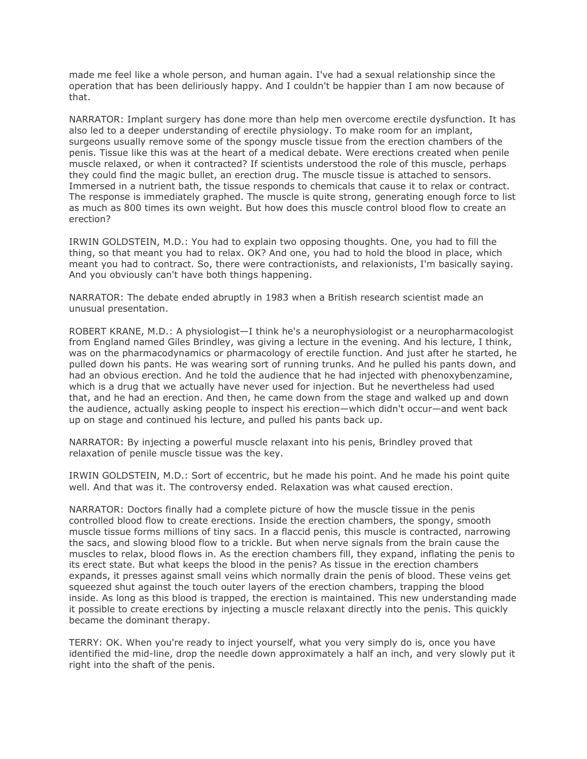made me feel like a whole person, and human again. I've had a sexual relationship since the operation that has been deliriously happy. And I couldn't be happier than I am now because of that.

NARRATOR: Implant surgery has done more than help men overcome erectile dysfunction. It has also led to a deeper understanding of erectile physiology. To make room for an implant, surgeons usually remove some of the spongy muscle tissue from the erection chambers of the penis. Tissue like this was at the heart of a medical debate. Were erections created when penile muscle relaxed, or when it contracted? If scientists understood the role of this muscle, perhaps they could find the magic bullet, an erection drug. The muscle tissue is attached to sensors. Immersed in a nutrient bath, the tissue responds to chemicals that cause it to relax or contract. The response is immediately graphed. The muscle is quite strong, generating enough force to list as much as 800 times its own weight. But how does this muscle control blood flow to create an erection?

IRWIN GOLDSTEIN, M.D.: You had to explain two opposing thoughts. One, you had to fill the thing, so that meant you had to relax. OK? And one, you had to hold the blood in place, which meant you had to contract. So, there were contractionists, and relaxionists, I'm basically saying. And you obviously can't have both things happening.

NARRATOR: The debate ended abruptly in 1983 when a British research scientist made an unusual presentation.

ROBERT KRANE, M.D.: A physiologist—I think he's a neurophysiologist or a neuropharmacologist from England named Giles Brindley, was giving a lecture in the evening. And his lecture, I think, was on the pharmacodynamics or pharmacology of erectile function. And just after he started, he pulled down his pants. He was wearing sort of running trunks. And he pulled his pants down, and had an obvious erection. And he told the audience that he had injected with phenoxybenzamine, which is a drug that we actually have never used for injection. But he nevertheless had used that, and he had an erection. And then, he came down from the stage and walked up and down the audience, actually asking people to inspect his erection—which didn't occur—and went back up on stage and continued his lecture, and pulled his pants back up.

NARRATOR: By injecting a powerful muscle relaxant into his penis, Brindley proved that relaxation of penile muscle tissue was the key.

IRWIN GOLDSTEIN, M.D.: Sort of eccentric, but he made his point. And he made his point quite well. And that was it. The controversy ended. Relaxation was what caused erection.

NARRATOR: Doctors finally had a complete picture of how the muscle tissue in the penis controlled blood flow to create erections. Inside the erection chambers, the spongy, smooth muscle tissue forms millions of tiny sacs. In a flaccid penis, this muscle is contracted, narrowing the sacs, and slowing blood flow to a trickle. But when nerve signals from the brain cause the muscles to relax, blood flows in. As the erection chambers fill, they expand, inflating the penis to its erect state. But what keeps the blood in the penis? As tissue in the erection chambers expands, it presses against small veins which normally drain the penis of blood. These veins get squeezed shut against the touch outer layers of the erection chambers, trapping the blood inside. As long as this blood is trapped, the erection is maintained. This new understanding made it possible to create erections by injecting a muscle relaxant directly into the penis. This quickly became the dominant therapy.

TERRY: OK. When you're ready to inject yourself, what you very simply do is, once you have identified the mid-line, drop the needle down approximately a half an inch, and very slowly put it right into the shaft of the penis.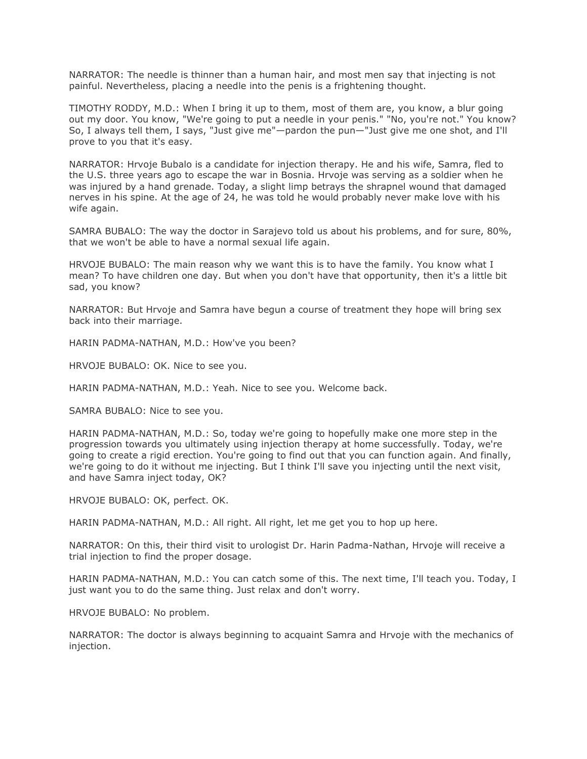NARRATOR: The needle is thinner than a human hair, and most men say that injecting is not painful. Nevertheless, placing a needle into the penis is a frightening thought.

TIMOTHY RODDY, M.D.: When I bring it up to them, most of them are, you know, a blur going out my door. You know, "We're going to put a needle in your penis." "No, you're not." You know? So, I always tell them, I says, "Just give me"—pardon the pun—"Just give me one shot, and I'll prove to you that it's easy.

NARRATOR: Hrvoje Bubalo is a candidate for injection therapy. He and his wife, Samra, fled to the U.S. three years ago to escape the war in Bosnia. Hrvoje was serving as a soldier when he was injured by a hand grenade. Today, a slight limp betrays the shrapnel wound that damaged nerves in his spine. At the age of 24, he was told he would probably never make love with his wife again.

SAMRA BUBALO: The way the doctor in Sarajevo told us about his problems, and for sure, 80%, that we won't be able to have a normal sexual life again.

HRVOJE BUBALO: The main reason why we want this is to have the family. You know what I mean? To have children one day. But when you don't have that opportunity, then it's a little bit sad, you know?

NARRATOR: But Hrvoje and Samra have begun a course of treatment they hope will bring sex back into their marriage.

HARIN PADMA-NATHAN, M.D.: How've you been?

HRVOJE BUBALO: OK. Nice to see you.

HARIN PADMA-NATHAN, M.D.: Yeah. Nice to see you. Welcome back.

SAMRA BUBALO: Nice to see you.

HARIN PADMA-NATHAN, M.D.: So, today we're going to hopefully make one more step in the progression towards you ultimately using injection therapy at home successfully. Today, we're going to create a rigid erection. You're going to find out that you can function again. And finally, we're going to do it without me injecting. But I think I'll save you injecting until the next visit, and have Samra inject today, OK?

HRVOJE BUBALO: OK, perfect. OK.

HARIN PADMA-NATHAN, M.D.: All right. All right, let me get you to hop up here.

NARRATOR: On this, their third visit to urologist Dr. Harin Padma-Nathan, Hrvoje will receive a trial injection to find the proper dosage.

HARIN PADMA-NATHAN, M.D.: You can catch some of this. The next time, I'll teach you. Today, I just want you to do the same thing. Just relax and don't worry.

HRVOJE BUBALO: No problem.

NARRATOR: The doctor is always beginning to acquaint Samra and Hrvoje with the mechanics of injection.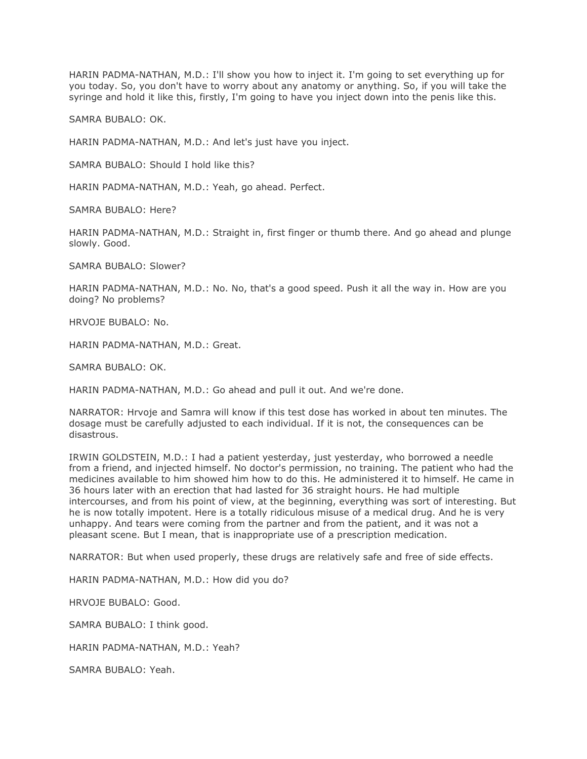HARIN PADMA-NATHAN, M.D.: I'll show you how to inject it. I'm going to set everything up for you today. So, you don't have to worry about any anatomy or anything. So, if you will take the syringe and hold it like this, firstly, I'm going to have you inject down into the penis like this.

SAMRA BUBALO: OK.

HARIN PADMA-NATHAN, M.D.: And let's just have you inject.

SAMRA BUBALO: Should I hold like this?

HARIN PADMA-NATHAN, M.D.: Yeah, go ahead. Perfect.

SAMRA BUBALO: Here?

HARIN PADMA-NATHAN, M.D.: Straight in, first finger or thumb there. And go ahead and plunge slowly. Good.

SAMRA BUBALO: Slower?

HARIN PADMA-NATHAN, M.D.: No. No, that's a good speed. Push it all the way in. How are you doing? No problems?

HRVOJE BUBALO: No.

HARIN PADMA-NATHAN, M.D.: Great.

SAMRA BUBALO: OK.

HARIN PADMA-NATHAN, M.D.: Go ahead and pull it out. And we're done.

NARRATOR: Hrvoje and Samra will know if this test dose has worked in about ten minutes. The dosage must be carefully adjusted to each individual. If it is not, the consequences can be disastrous.

IRWIN GOLDSTEIN, M.D.: I had a patient yesterday, just yesterday, who borrowed a needle from a friend, and injected himself. No doctor's permission, no training. The patient who had the medicines available to him showed him how to do this. He administered it to himself. He came in 36 hours later with an erection that had lasted for 36 straight hours. He had multiple intercourses, and from his point of view, at the beginning, everything was sort of interesting. But he is now totally impotent. Here is a totally ridiculous misuse of a medical drug. And he is very unhappy. And tears were coming from the partner and from the patient, and it was not a pleasant scene. But I mean, that is inappropriate use of a prescription medication.

NARRATOR: But when used properly, these drugs are relatively safe and free of side effects.

HARIN PADMA-NATHAN, M.D.: How did you do?

HRVOJE BUBALO: Good.

SAMRA BUBALO: I think good.

HARIN PADMA-NATHAN, M.D.: Yeah?

SAMRA BUBALO: Yeah.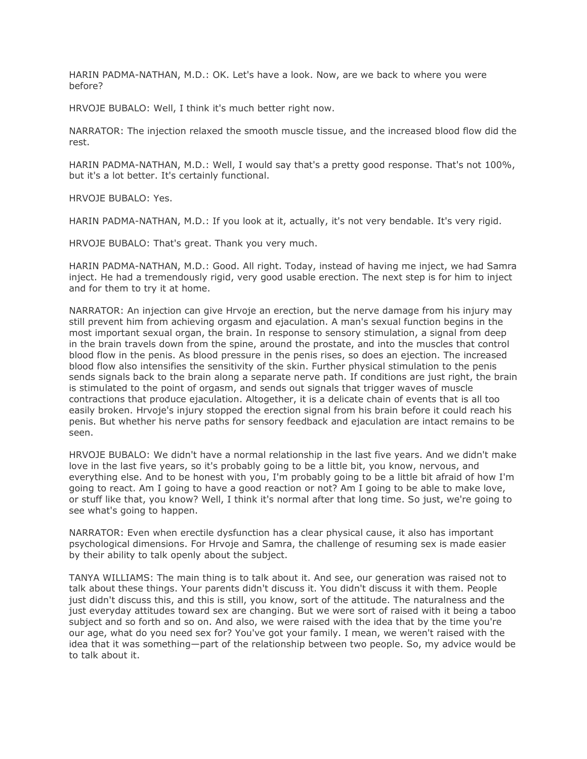HARIN PADMA-NATHAN, M.D.: OK. Let's have a look. Now, are we back to where you were before?

HRVOJE BUBALO: Well, I think it's much better right now.

NARRATOR: The injection relaxed the smooth muscle tissue, and the increased blood flow did the rest.

HARIN PADMA-NATHAN, M.D.: Well, I would say that's a pretty good response. That's not 100%, but it's a lot better. It's certainly functional.

HRVOJE BUBALO: Yes.

HARIN PADMA-NATHAN, M.D.: If you look at it, actually, it's not very bendable. It's very rigid.

HRVOJE BUBALO: That's great. Thank you very much.

HARIN PADMA-NATHAN, M.D.: Good. All right. Today, instead of having me inject, we had Samra inject. He had a tremendously rigid, very good usable erection. The next step is for him to inject and for them to try it at home.

NARRATOR: An injection can give Hrvoje an erection, but the nerve damage from his injury may still prevent him from achieving orgasm and ejaculation. A man's sexual function begins in the most important sexual organ, the brain. In response to sensory stimulation, a signal from deep in the brain travels down from the spine, around the prostate, and into the muscles that control blood flow in the penis. As blood pressure in the penis rises, so does an ejection. The increased blood flow also intensifies the sensitivity of the skin. Further physical stimulation to the penis sends signals back to the brain along a separate nerve path. If conditions are just right, the brain is stimulated to the point of orgasm, and sends out signals that trigger waves of muscle contractions that produce ejaculation. Altogether, it is a delicate chain of events that is all too easily broken. Hrvoje's injury stopped the erection signal from his brain before it could reach his penis. But whether his nerve paths for sensory feedback and ejaculation are intact remains to be seen.

HRVOJE BUBALO: We didn't have a normal relationship in the last five years. And we didn't make love in the last five years, so it's probably going to be a little bit, you know, nervous, and everything else. And to be honest with you, I'm probably going to be a little bit afraid of how I'm going to react. Am I going to have a good reaction or not? Am I going to be able to make love, or stuff like that, you know? Well, I think it's normal after that long time. So just, we're going to see what's going to happen.

NARRATOR: Even when erectile dysfunction has a clear physical cause, it also has important psychological dimensions. For Hrvoje and Samra, the challenge of resuming sex is made easier by their ability to talk openly about the subject.

TANYA WILLIAMS: The main thing is to talk about it. And see, our generation was raised not to talk about these things. Your parents didn't discuss it. You didn't discuss it with them. People just didn't discuss this, and this is still, you know, sort of the attitude. The naturalness and the just everyday attitudes toward sex are changing. But we were sort of raised with it being a taboo subject and so forth and so on. And also, we were raised with the idea that by the time you're our age, what do you need sex for? You've got your family. I mean, we weren't raised with the idea that it was something—part of the relationship between two people. So, my advice would be to talk about it.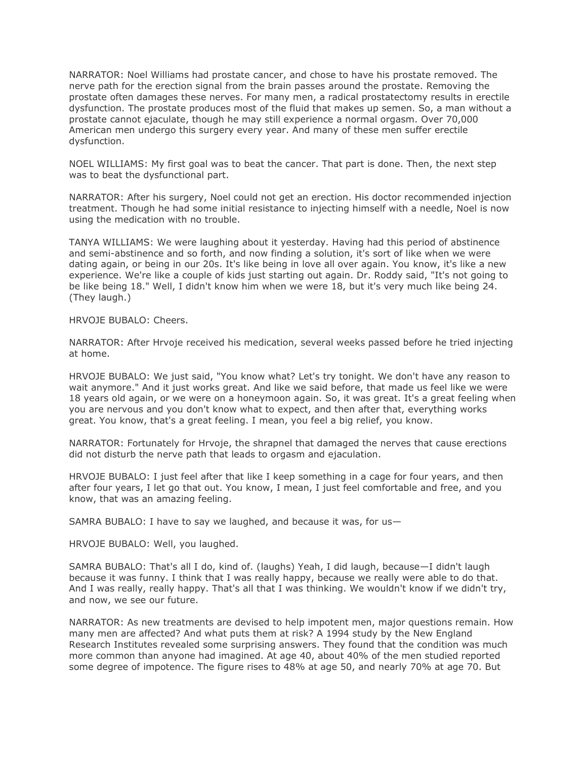NARRATOR: Noel Williams had prostate cancer, and chose to have his prostate removed. The nerve path for the erection signal from the brain passes around the prostate. Removing the prostate often damages these nerves. For many men, a radical prostatectomy results in erectile dysfunction. The prostate produces most of the fluid that makes up semen. So, a man without a prostate cannot ejaculate, though he may still experience a normal orgasm. Over 70,000 American men undergo this surgery every year. And many of these men suffer erectile dysfunction.

NOEL WILLIAMS: My first goal was to beat the cancer. That part is done. Then, the next step was to beat the dysfunctional part.

NARRATOR: After his surgery, Noel could not get an erection. His doctor recommended injection treatment. Though he had some initial resistance to injecting himself with a needle, Noel is now using the medication with no trouble.

TANYA WILLIAMS: We were laughing about it yesterday. Having had this period of abstinence and semi-abstinence and so forth, and now finding a solution, it's sort of like when we were dating again, or being in our 20s. It's like being in love all over again. You know, it's like a new experience. We're like a couple of kids just starting out again. Dr. Roddy said, "It's not going to be like being 18." Well, I didn't know him when we were 18, but it's very much like being 24. (They laugh.)

HRVOJE BUBALO: Cheers.

NARRATOR: After Hrvoje received his medication, several weeks passed before he tried injecting at home.

HRVOJE BUBALO: We just said, "You know what? Let's try tonight. We don't have any reason to wait anymore." And it just works great. And like we said before, that made us feel like we were 18 years old again, or we were on a honeymoon again. So, it was great. It's a great feeling when you are nervous and you don't know what to expect, and then after that, everything works great. You know, that's a great feeling. I mean, you feel a big relief, you know.

NARRATOR: Fortunately for Hrvoje, the shrapnel that damaged the nerves that cause erections did not disturb the nerve path that leads to orgasm and ejaculation.

HRVOJE BUBALO: I just feel after that like I keep something in a cage for four years, and then after four years, I let go that out. You know, I mean, I just feel comfortable and free, and you know, that was an amazing feeling.

SAMRA BUBALO: I have to say we laughed, and because it was, for us—

HRVOJE BUBALO: Well, you laughed.

SAMRA BUBALO: That's all I do, kind of. (laughs) Yeah, I did laugh, because—I didn't laugh because it was funny. I think that I was really happy, because we really were able to do that. And I was really, really happy. That's all that I was thinking. We wouldn't know if we didn't try, and now, we see our future.

NARRATOR: As new treatments are devised to help impotent men, major questions remain. How many men are affected? And what puts them at risk? A 1994 study by the New England Research Institutes revealed some surprising answers. They found that the condition was much more common than anyone had imagined. At age 40, about 40% of the men studied reported some degree of impotence. The figure rises to 48% at age 50, and nearly 70% at age 70. But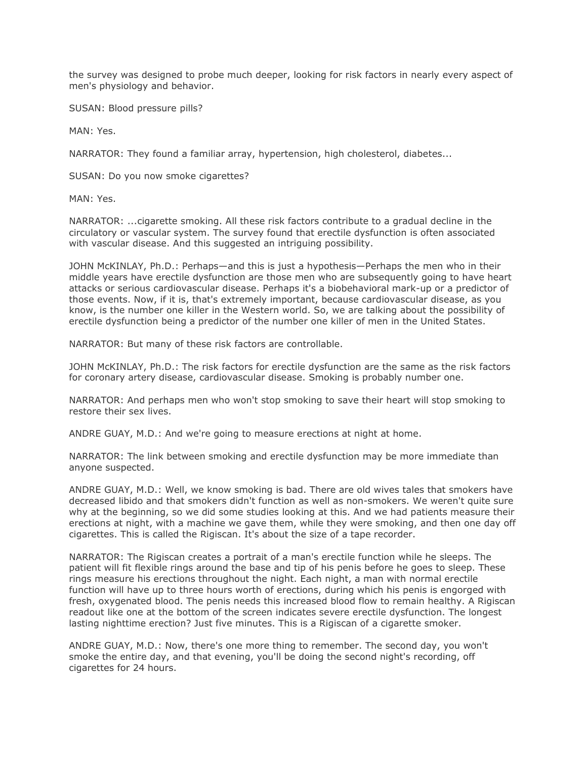the survey was designed to probe much deeper, looking for risk factors in nearly every aspect of men's physiology and behavior.

SUSAN: Blood pressure pills?

MAN: Yes.

NARRATOR: They found a familiar array, hypertension, high cholesterol, diabetes...

SUSAN: Do you now smoke cigarettes?

MAN: Yes.

NARRATOR: ...cigarette smoking. All these risk factors contribute to a gradual decline in the circulatory or vascular system. The survey found that erectile dysfunction is often associated with vascular disease. And this suggested an intriguing possibility.

JOHN McKINLAY, Ph.D.: Perhaps—and this is just a hypothesis—Perhaps the men who in their middle years have erectile dysfunction are those men who are subsequently going to have heart attacks or serious cardiovascular disease. Perhaps it's a biobehavioral mark-up or a predictor of those events. Now, if it is, that's extremely important, because cardiovascular disease, as you know, is the number one killer in the Western world. So, we are talking about the possibility of erectile dysfunction being a predictor of the number one killer of men in the United States.

NARRATOR: But many of these risk factors are controllable.

JOHN McKINLAY, Ph.D.: The risk factors for erectile dysfunction are the same as the risk factors for coronary artery disease, cardiovascular disease. Smoking is probably number one.

NARRATOR: And perhaps men who won't stop smoking to save their heart will stop smoking to restore their sex lives.

ANDRE GUAY, M.D.: And we're going to measure erections at night at home.

NARRATOR: The link between smoking and erectile dysfunction may be more immediate than anyone suspected.

ANDRE GUAY, M.D.: Well, we know smoking is bad. There are old wives tales that smokers have decreased libido and that smokers didn't function as well as non-smokers. We weren't quite sure why at the beginning, so we did some studies looking at this. And we had patients measure their erections at night, with a machine we gave them, while they were smoking, and then one day off cigarettes. This is called the Rigiscan. It's about the size of a tape recorder.

NARRATOR: The Rigiscan creates a portrait of a man's erectile function while he sleeps. The patient will fit flexible rings around the base and tip of his penis before he goes to sleep. These rings measure his erections throughout the night. Each night, a man with normal erectile function will have up to three hours worth of erections, during which his penis is engorged with fresh, oxygenated blood. The penis needs this increased blood flow to remain healthy. A Rigiscan readout like one at the bottom of the screen indicates severe erectile dysfunction. The longest lasting nighttime erection? Just five minutes. This is a Rigiscan of a cigarette smoker.

ANDRE GUAY, M.D.: Now, there's one more thing to remember. The second day, you won't smoke the entire day, and that evening, you'll be doing the second night's recording, off cigarettes for 24 hours.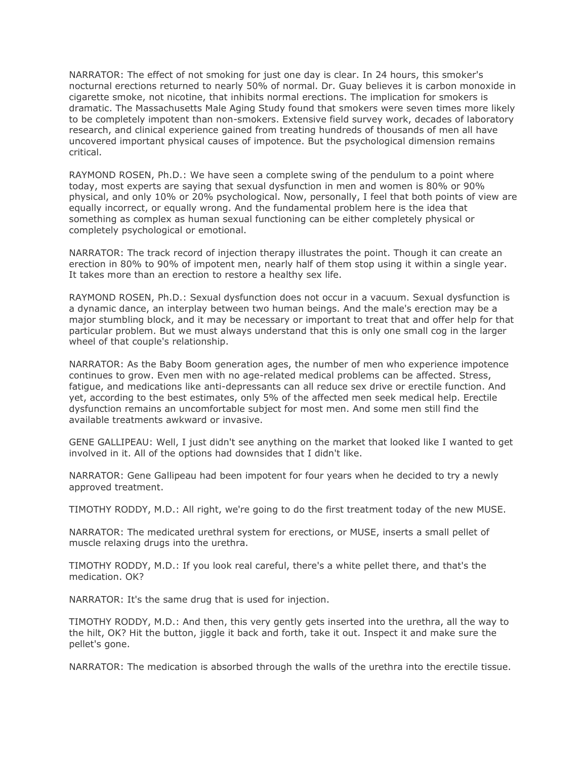NARRATOR: The effect of not smoking for just one day is clear. In 24 hours, this smoker's nocturnal erections returned to nearly 50% of normal. Dr. Guay believes it is carbon monoxide in cigarette smoke, not nicotine, that inhibits normal erections. The implication for smokers is dramatic. The Massachusetts Male Aging Study found that smokers were seven times more likely to be completely impotent than non-smokers. Extensive field survey work, decades of laboratory research, and clinical experience gained from treating hundreds of thousands of men all have uncovered important physical causes of impotence. But the psychological dimension remains critical.

RAYMOND ROSEN, Ph.D.: We have seen a complete swing of the pendulum to a point where today, most experts are saying that sexual dysfunction in men and women is 80% or 90% physical, and only 10% or 20% psychological. Now, personally, I feel that both points of view are equally incorrect, or equally wrong. And the fundamental problem here is the idea that something as complex as human sexual functioning can be either completely physical or completely psychological or emotional.

NARRATOR: The track record of injection therapy illustrates the point. Though it can create an erection in 80% to 90% of impotent men, nearly half of them stop using it within a single year. It takes more than an erection to restore a healthy sex life.

RAYMOND ROSEN, Ph.D.: Sexual dysfunction does not occur in a vacuum. Sexual dysfunction is a dynamic dance, an interplay between two human beings. And the male's erection may be a major stumbling block, and it may be necessary or important to treat that and offer help for that particular problem. But we must always understand that this is only one small cog in the larger wheel of that couple's relationship.

NARRATOR: As the Baby Boom generation ages, the number of men who experience impotence continues to grow. Even men with no age-related medical problems can be affected. Stress, fatigue, and medications like anti-depressants can all reduce sex drive or erectile function. And yet, according to the best estimates, only 5% of the affected men seek medical help. Erectile dysfunction remains an uncomfortable subject for most men. And some men still find the available treatments awkward or invasive.

GENE GALLIPEAU: Well, I just didn't see anything on the market that looked like I wanted to get involved in it. All of the options had downsides that I didn't like.

NARRATOR: Gene Gallipeau had been impotent for four years when he decided to try a newly approved treatment.

TIMOTHY RODDY, M.D.: All right, we're going to do the first treatment today of the new MUSE.

NARRATOR: The medicated urethral system for erections, or MUSE, inserts a small pellet of muscle relaxing drugs into the urethra.

TIMOTHY RODDY, M.D.: If you look real careful, there's a white pellet there, and that's the medication. OK?

NARRATOR: It's the same drug that is used for injection.

TIMOTHY RODDY, M.D.: And then, this very gently gets inserted into the urethra, all the way to the hilt, OK? Hit the button, jiggle it back and forth, take it out. Inspect it and make sure the pellet's gone.

NARRATOR: The medication is absorbed through the walls of the urethra into the erectile tissue.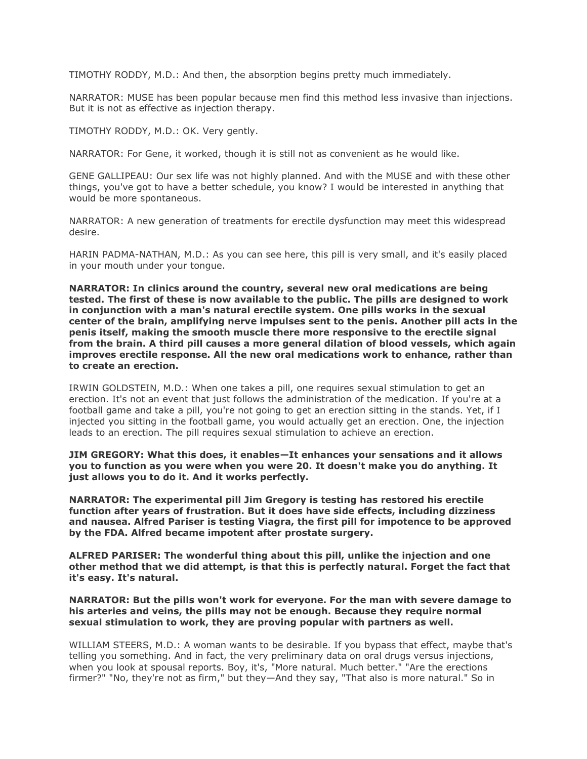TIMOTHY RODDY, M.D.: And then, the absorption begins pretty much immediately.

NARRATOR: MUSE has been popular because men find this method less invasive than injections. But it is not as effective as injection therapy.

TIMOTHY RODDY, M.D.: OK. Very gently.

NARRATOR: For Gene, it worked, though it is still not as convenient as he would like.

GENE GALLIPEAU: Our sex life was not highly planned. And with the MUSE and with these other things, you've got to have a better schedule, you know? I would be interested in anything that would be more spontaneous.

NARRATOR: A new generation of treatments for erectile dysfunction may meet this widespread desire.

HARIN PADMA-NATHAN, M.D.: As you can see here, this pill is very small, and it's easily placed in your mouth under your tongue.

**NARRATOR: In clinics around the country, several new oral medications are being tested. The first of these is now available to the public. The pills are designed to work in conjunction with a man's natural erectile system. One pills works in the sexual center of the brain, amplifying nerve impulses sent to the penis. Another pill acts in the penis itself, making the smooth muscle there more responsive to the erectile signal from the brain. A third pill causes a more general dilation of blood vessels, which again improves erectile response. All the new oral medications work to enhance, rather than to create an erection.**

IRWIN GOLDSTEIN, M.D.: When one takes a pill, one requires sexual stimulation to get an erection. It's not an event that just follows the administration of the medication. If you're at a football game and take a pill, you're not going to get an erection sitting in the stands. Yet, if I injected you sitting in the football game, you would actually get an erection. One, the injection leads to an erection. The pill requires sexual stimulation to achieve an erection.

**JIM GREGORY: What this does, it enables—It enhances your sensations and it allows you to function as you were when you were 20. It doesn't make you do anything. It just allows you to do it. And it works perfectly.**

**NARRATOR: The experimental pill Jim Gregory is testing has restored his erectile function after years of frustration. But it does have side effects, including dizziness and nausea. Alfred Pariser is testing Viagra, the first pill for impotence to be approved by the FDA. Alfred became impotent after prostate surgery.**

**ALFRED PARISER: The wonderful thing about this pill, unlike the injection and one other method that we did attempt, is that this is perfectly natural. Forget the fact that it's easy. It's natural.**

**NARRATOR: But the pills won't work for everyone. For the man with severe damage to his arteries and veins, the pills may not be enough. Because they require normal sexual stimulation to work, they are proving popular with partners as well.**

WILLIAM STEERS, M.D.: A woman wants to be desirable. If you bypass that effect, maybe that's telling you something. And in fact, the very preliminary data on oral drugs versus injections, when you look at spousal reports. Boy, it's, "More natural. Much better." "Are the erections firmer?" "No, they're not as firm," but they—And they say, "That also is more natural." So in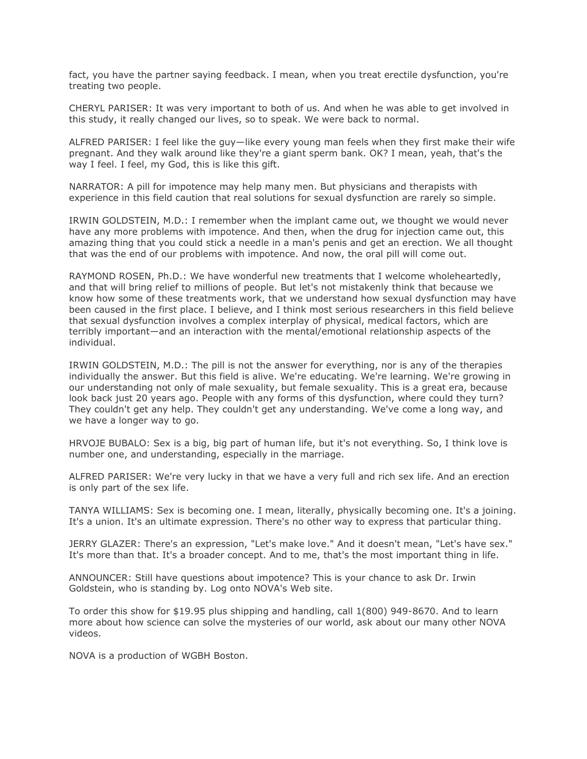fact, you have the partner saying feedback. I mean, when you treat erectile dysfunction, you're treating two people.

CHERYL PARISER: It was very important to both of us. And when he was able to get involved in this study, it really changed our lives, so to speak. We were back to normal.

ALFRED PARISER: I feel like the guy—like every young man feels when they first make their wife pregnant. And they walk around like they're a giant sperm bank. OK? I mean, yeah, that's the way I feel. I feel, my God, this is like this gift.

NARRATOR: A pill for impotence may help many men. But physicians and therapists with experience in this field caution that real solutions for sexual dysfunction are rarely so simple.

IRWIN GOLDSTEIN, M.D.: I remember when the implant came out, we thought we would never have any more problems with impotence. And then, when the drug for injection came out, this amazing thing that you could stick a needle in a man's penis and get an erection. We all thought that was the end of our problems with impotence. And now, the oral pill will come out.

RAYMOND ROSEN, Ph.D.: We have wonderful new treatments that I welcome wholeheartedly, and that will bring relief to millions of people. But let's not mistakenly think that because we know how some of these treatments work, that we understand how sexual dysfunction may have been caused in the first place. I believe, and I think most serious researchers in this field believe that sexual dysfunction involves a complex interplay of physical, medical factors, which are terribly important—and an interaction with the mental/emotional relationship aspects of the individual.

IRWIN GOLDSTEIN, M.D.: The pill is not the answer for everything, nor is any of the therapies individually the answer. But this field is alive. We're educating. We're learning. We're growing in our understanding not only of male sexuality, but female sexuality. This is a great era, because look back just 20 years ago. People with any forms of this dysfunction, where could they turn? They couldn't get any help. They couldn't get any understanding. We've come a long way, and we have a longer way to go.

HRVOJE BUBALO: Sex is a big, big part of human life, but it's not everything. So, I think love is number one, and understanding, especially in the marriage.

ALFRED PARISER: We're very lucky in that we have a very full and rich sex life. And an erection is only part of the sex life.

TANYA WILLIAMS: Sex is becoming one. I mean, literally, physically becoming one. It's a joining. It's a union. It's an ultimate expression. There's no other way to express that particular thing.

JERRY GLAZER: There's an expression, "Let's make love." And it doesn't mean, "Let's have sex." It's more than that. It's a broader concept. And to me, that's the most important thing in life.

ANNOUNCER: Still have questions about impotence? This is your chance to ask Dr. Irwin Goldstein, who is standing by. Log onto NOVA's Web site.

To order this show for \$19.95 plus shipping and handling, call 1(800) 949-8670. And to learn more about how science can solve the mysteries of our world, ask about our many other NOVA videos.

NOVA is a production of WGBH Boston.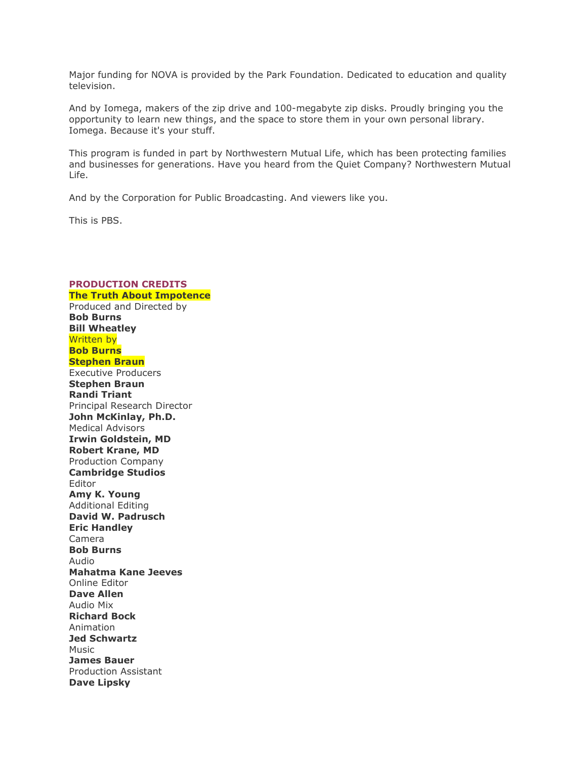Major funding for NOVA is provided by the Park Foundation. Dedicated to education and quality television.

And by Iomega, makers of the zip drive and 100-megabyte zip disks. Proudly bringing you the opportunity to learn new things, and the space to store them in your own personal library. Iomega. Because it's your stuff.

This program is funded in part by Northwestern Mutual Life, which has been protecting families and businesses for generations. Have you heard from the Quiet Company? Northwestern Mutual Life.

And by the Corporation for Public Broadcasting. And viewers like you.

This is PBS.

## **PRODUCTION CREDITS The Truth About Impotence** Produced and Directed by **Bob Burns Bill Wheatley** Written by **Bob Burns Stephen Braun** Executive Producers **Stephen Braun Randi Triant** Principal Research Director **John McKinlay, Ph.D.** Medical Advisors **Irwin Goldstein, MD Robert Krane, MD** Production Company **Cambridge Studios** Editor **Amy K. Young** Additional Editing **David W. Padrusch Eric Handley** Camera **Bob Burns** Audio **Mahatma Kane Jeeves** Online Editor **Dave Allen** Audio Mix **Richard Bock** Animation **Jed Schwartz** Music **James Bauer** Production Assistant **Dave Lipsky**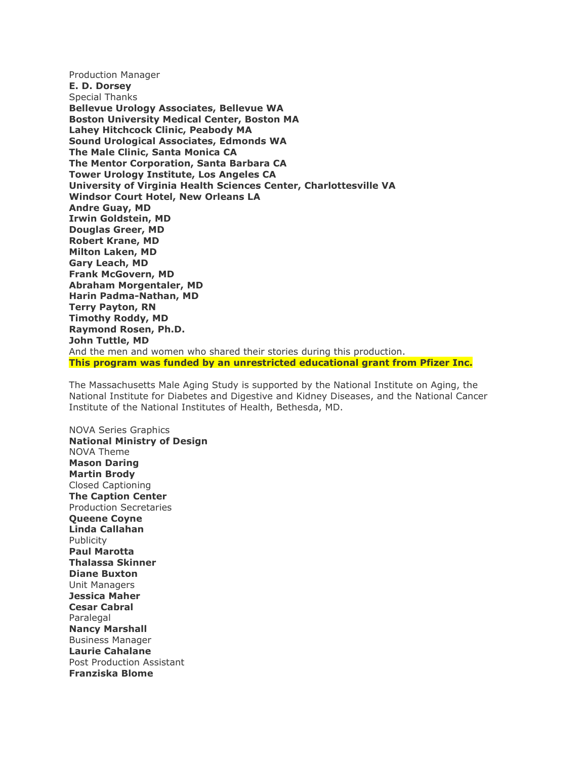Production Manager **E. D. Dorsey** Special Thanks **Bellevue Urology Associates, Bellevue WA Boston University Medical Center, Boston MA Lahey Hitchcock Clinic, Peabody MA Sound Urological Associates, Edmonds WA The Male Clinic, Santa Monica CA The Mentor Corporation, Santa Barbara CA Tower Urology Institute, Los Angeles CA University of Virginia Health Sciences Center, Charlottesville VA Windsor Court Hotel, New Orleans LA Andre Guay, MD Irwin Goldstein, MD Douglas Greer, MD Robert Krane, MD Milton Laken, MD Gary Leach, MD Frank McGovern, MD Abraham Morgentaler, MD Harin Padma-Nathan, MD Terry Payton, RN Timothy Roddy, MD Raymond Rosen, Ph.D. John Tuttle, MD** And the men and women who shared their stories during this production. **This program was funded by an unrestricted educational grant from Pfizer Inc.**

The Massachusetts Male Aging Study is supported by the National Institute on Aging, the National Institute for Diabetes and Digestive and Kidney Diseases, and the National Cancer Institute of the National Institutes of Health, Bethesda, MD.

NOVA Series Graphics **National Ministry of Design** NOVA Theme **Mason Daring Martin Brody** Closed Captioning **The Caption Center** Production Secretaries **Queene Coyne Linda Callahan** Publicity **Paul Marotta Thalassa Skinner Diane Buxton** Unit Managers **Jessica Maher Cesar Cabral** Paralegal **Nancy Marshall** Business Manager **Laurie Cahalane** Post Production Assistant **Franziska Blome**